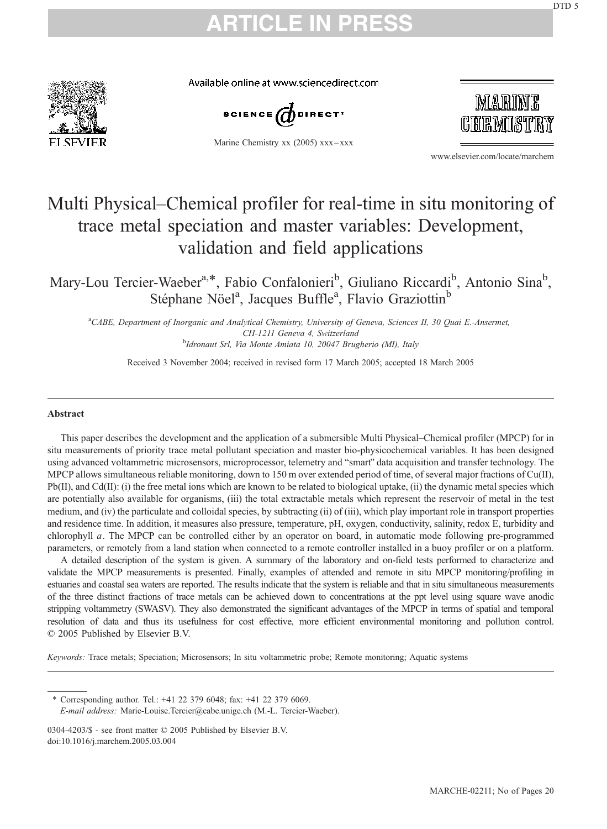

Available online at www.sciencedirect.com



Marine Chemistry xx (2005) xxx – xxx



www.elsevier.com/locate/marchem

### Multi Physical–Chemical profiler for real-time in situ monitoring of trace metal speciation and master variables: Development, validation and field applications

Mary-Lou Tercier-Waeber<sup>a,\*</sup>, Fabio Confalonieri<sup>b</sup>, Giuliano Riccardi<sup>b</sup>, Antonio Sina<sup>b</sup>, Stéphane Nöel<sup>a</sup>, Jacques Buffle<sup>a</sup>, Flavio Graziottin<sup>b</sup>

a CABE, Department of Inorganic and Analytical Chemistry, University of Geneva, Sciences II, 30 Quai E.-Ansermet, CH-1211 Geneva 4, Switzerland<br><sup>b</sup>Idronaut Srl, Via Monte Amiata 10, 20047 Brugherio (MI), Italy

Received 3 November 2004; received in revised form 17 March 2005; accepted 18 March 2005

#### Abstract

This paper describes the development and the application of a submersible Multi Physical–Chemical profiler (MPCP) for in situ measurements of priority trace metal pollutant speciation and master bio-physicochemical variables. It has been designed using advanced voltammetric microsensors, microprocessor, telemetry and "smart" data acquisition and transfer technology. The MPCP allows simultaneous reliable monitoring, down to 150 m over extended period of time, of several major fractions of Cu(II),  $Pb(II)$ , and  $Cd(II)$ : (i) the free metal ions which are known to be related to biological uptake, (ii) the dynamic metal species which are potentially also available for organisms, (iii) the total extractable metals which represent the reservoir of metal in the test medium, and (iv) the particulate and colloidal species, by subtracting (ii) of (iii), which play important role in transport properties and residence time. In addition, it measures also pressure, temperature, pH, oxygen, conductivity, salinity, redox E, turbidity and chlorophyll a. The MPCP can be controlled either by an operator on board, in automatic mode following pre-programmed parameters, or remotely from a land station when connected to a remote controller installed in a buoy profiler or on a platform.

A detailed description of the system is given. A summary of the laboratory and on-field tests performed to characterize and validate the MPCP measurements is presented. Finally, examples of attended and remote in situ MPCP monitoring/profiling in estuaries and coastal sea waters are reported. The results indicate that the system is reliable and that in situ simultaneous measurements of the three distinct fractions of trace metals can be achieved down to concentrations at the ppt level using square wave anodic stripping voltammetry (SWASV). They also demonstrated the significant advantages of the MPCP in terms of spatial and temporal resolution of data and thus its usefulness for cost effective, more efficient environmental monitoring and pollution control.  $© 2005$  Published by Elsevier B.V.

Keywords: Trace metals; Speciation; Microsensors; In situ voltammetric probe; Remote monitoring; Aquatic systems

\* Corresponding author. Tel.: +41 22 379 6048; fax: +41 22 379 6069. E-mail address: Marie-Louise.Tercier@cabe.unige.ch (M.-L. Tercier-Waeber).

0304-4203/\$ - see front matter  $\odot$  2005 Published by Elsevier B.V. doi:10.1016/j.marchem.2005.03.004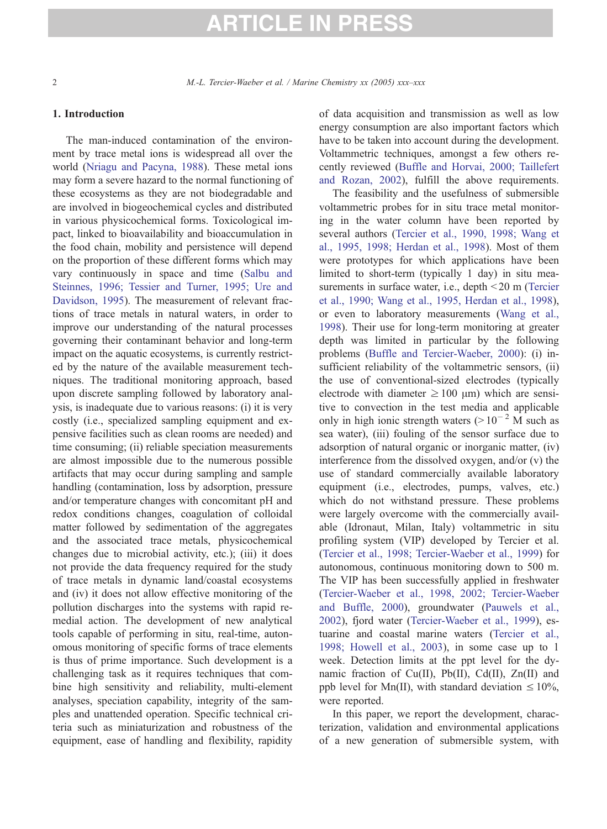2 M.-L. Tercier-Waeber et al. / Marine Chemistry xx (2005) xxx–xxx

### 1. Introduction

The man-induced contamination of the environment by trace metal ions is widespread all over the world ([Nriagu and Pacyna, 1988\)](#page-18-0). These metal ions may form a severe hazard to the normal functioning of these ecosystems as they are not biodegradable and are involved in biogeochemical cycles and distributed in various physicochemical forms. Toxicological impact, linked to bioavailability and bioaccumulation in the food chain, mobility and persistence will depend on the proportion of these different forms which may vary continuously in space and time ([Salbu and](#page-18-0) Steinnes, 1996; Tessier and Turner, 1995; Ure and Davidson, 1995). The measurement of relevant fractions of trace metals in natural waters, in order to improve our understanding of the natural processes governing their contaminant behavior and long-term impact on the aquatic ecosystems, is currently restricted by the nature of the available measurement techniques. The traditional monitoring approach, based upon discrete sampling followed by laboratory analysis, is inadequate due to various reasons: (i) it is very costly (i.e., specialized sampling equipment and expensive facilities such as clean rooms are needed) and time consuming; (ii) reliable speciation measurements are almost impossible due to the numerous possible artifacts that may occur during sampling and sample handling (contamination, loss by adsorption, pressure and/or temperature changes with concomitant pH and redox conditions changes, coagulation of colloidal matter followed by sedimentation of the aggregates and the associated trace metals, physicochemical changes due to microbial activity, etc.); (iii) it does not provide the data frequency required for the study of trace metals in dynamic land/coastal ecosystems and (iv) it does not allow effective monitoring of the pollution discharges into the systems with rapid remedial action. The development of new analytical tools capable of performing in situ, real-time, autonomous monitoring of specific forms of trace elements is thus of prime importance. Such development is a challenging task as it requires techniques that combine high sensitivity and reliability, multi-element analyses, speciation capability, integrity of the samples and unattended operation. Specific technical criteria such as miniaturization and robustness of the equipment, ease of handling and flexibility, rapidity

of data acquisition and transmission as well as low energy consumption are also important factors which have to be taken into account during the development. Voltammetric techniques, amongst a few others recently reviewed ([Buffle and Horvai, 2000; Taillefert](#page-18-0) and Rozan, 2002), fulfill the above requirements.

The feasibility and the usefulness of submersible voltammetric probes for in situ trace metal monitoring in the water column have been reported by several authors ([Tercier et al., 1990, 1998; Wang et](#page-19-0) al., 1995, 1998; Herdan et al., 1998). Most of them were prototypes for which applications have been limited to short-term (typically 1 day) in situ measurements in surface water, i.e., depth  $\leq 20$  m ([Tercier](#page-19-0) et al., 1990; Wang et al., 1995, Herdan et al., 1998), or even to laboratory measurements ([Wang et al.,](#page-19-0) 1998). Their use for long-term monitoring at greater depth was limited in particular by the following problems ([Buffle and Tercier-Waeber, 2000\)](#page-18-0): (i) insufficient reliability of the voltammetric sensors, (ii) the use of conventional-sized electrodes (typically electrode with diameter  $\geq 100 \mu m$ ) which are sensitive to convection in the test media and applicable only in high ionic strength waters  $(> 10^{-2}$  M such as sea water), (iii) fouling of the sensor surface due to adsorption of natural organic or inorganic matter, (iv) interference from the dissolved oxygen, and/or (v) the use of standard commercially available laboratory equipment (i.e., electrodes, pumps, valves, etc.) which do not withstand pressure. These problems were largely overcome with the commercially available (Idronaut, Milan, Italy) voltammetric in situ profiling system (VIP) developed by Tercier et al. ([Tercier et al., 1998; Tercier-Waeber et al., 1999\)](#page-19-0) for autonomous, continuous monitoring down to 500 m. The VIP has been successfully applied in freshwater ([Tercier-Waeber et al., 1998, 2002; Tercier-Waeber](#page-19-0) and Buffle, 2000), groundwater ([Pauwels et al.,](#page-18-0) 2002), fjord water ([Tercier-Waeber et al., 1999\)](#page-19-0), estuarine and coastal marine waters ([Tercier et al.,](#page-19-0) 1998; Howell et al., 2003), in some case up to 1 week. Detection limits at the ppt level for the dynamic fraction of Cu(II), Pb(II), Cd(II), Zn(II) and ppb level for Mn(II), with standard deviation  $\leq 10\%$ , were reported.

In this paper, we report the development, characterization, validation and environmental applications of a new generation of submersible system, with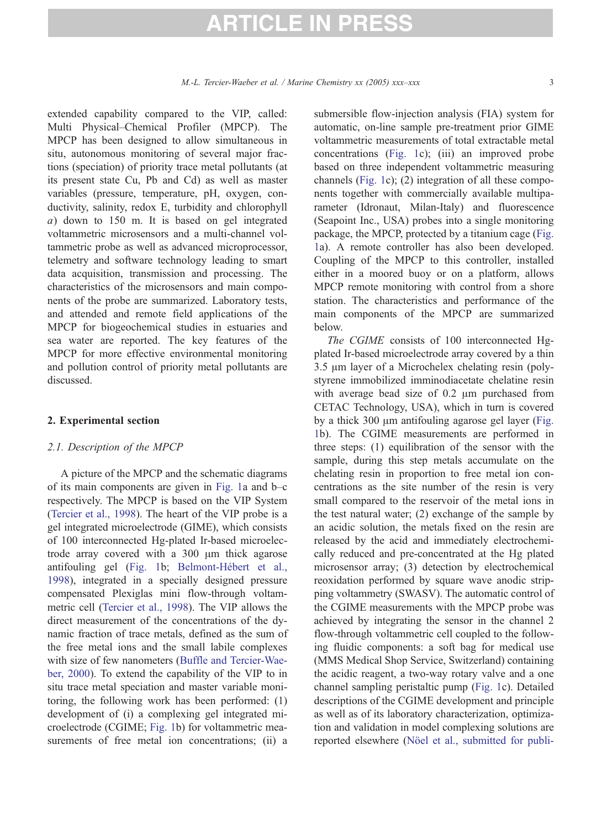extended capability compared to the VIP, called: Multi Physical–Chemical Profiler (MPCP). The MPCP has been designed to allow simultaneous in situ, autonomous monitoring of several major fractions (speciation) of priority trace metal pollutants (at its present state Cu, Pb and Cd) as well as master variables (pressure, temperature, pH, oxygen, conductivity, salinity, redox E, turbidity and chlorophyll a) down to 150 m. It is based on gel integrated voltammetric microsensors and a multi-channel voltammetric probe as well as advanced microprocessor, telemetry and software technology leading to smart data acquisition, transmission and processing. The characteristics of the microsensors and main components of the probe are summarized. Laboratory tests, and attended and remote field applications of the MPCP for biogeochemical studies in estuaries and sea water are reported. The key features of the MPCP for more effective environmental monitoring and pollution control of priority metal pollutants are discussed.

### 2. Experimental section

#### 2.1. Description of the MPCP

A picture of the MPCP and the schematic diagrams of its main components are given in [Fig. 1a](#page-3-0) and b–c respectively. The MPCP is based on the VIP System ([Tercier et al., 1998](#page-19-0)). The heart of the VIP probe is a gel integrated microelectrode (GIME), which consists of 100 interconnected Hg-plated Ir-based microelectrode array covered with a 300  $\mu$ m thick agarose antifouling gel ([Fig. 1b](#page-3-0); Belmont-Hébert et al., 1998), integrated in a specially designed pressure compensated Plexiglas mini flow-through voltammetric cell ([Tercier et al., 1998\)](#page-19-0). The VIP allows the direct measurement of the concentrations of the dynamic fraction of trace metals, defined as the sum of the free metal ions and the small labile complexes with size of few nanometers ([Buffle and Tercier-Wae](#page-18-0)ber, 2000). To extend the capability of the VIP to in situ trace metal speciation and master variable monitoring, the following work has been performed: (1) development of (i) a complexing gel integrated microelectrode (CGIME; [Fig. 1b](#page-3-0)) for voltammetric measurements of free metal ion concentrations; (ii) a

submersible flow-injection analysis (FIA) system for automatic, on-line sample pre-treatment prior GIME voltammetric measurements of total extractable metal concentrations ([Fig. 1c](#page-3-0)); (iii) an improved probe based on three independent voltammetric measuring channels ([Fig. 1c](#page-3-0)); (2) integration of all these components together with commercially available multiparameter (Idronaut, Milan-Italy) and fluorescence (Seapoint Inc., USA) probes into a single monitoring package, the MPCP, protected by a titanium cage ([Fig.](#page-3-0) 1a). A remote controller has also been developed. Coupling of the MPCP to this controller, installed either in a moored buoy or on a platform, allows MPCP remote monitoring with control from a shore station. The characteristics and performance of the main components of the MPCP are summarized below.

The CGIME consists of 100 interconnected Hgplated Ir-based microelectrode array covered by a thin 3.5 µm layer of a Microchelex chelating resin (polystyrene immobilized imminodiacetate chelatine resin with average bead size of  $0.2 \mu m$  purchased from CETAC Technology, USA), which in turn is covered by a thick 300 µm antifouling agarose gel layer ([Fig.](#page-3-0) 1b). The CGIME measurements are performed in three steps: (1) equilibration of the sensor with the sample, during this step metals accumulate on the chelating resin in proportion to free metal ion concentrations as the site number of the resin is very small compared to the reservoir of the metal ions in the test natural water; (2) exchange of the sample by an acidic solution, the metals fixed on the resin are released by the acid and immediately electrochemically reduced and pre-concentrated at the Hg plated microsensor array; (3) detection by electrochemical reoxidation performed by square wave anodic stripping voltammetry (SWASV). The automatic control of the CGIME measurements with the MPCP probe was achieved by integrating the sensor in the channel 2 flow-through voltammetric cell coupled to the following fluidic components: a soft bag for medical use (MMS Medical Shop Service, Switzerland) containing the acidic reagent, a two-way rotary valve and a one channel sampling peristaltic pump ([Fig. 1c](#page-3-0)). Detailed descriptions of the CGIME development and principle as well as of its laboratory characterization, optimization and validation in model complexing solutions are reported elsewhere (Nöel et al., submitted for publi-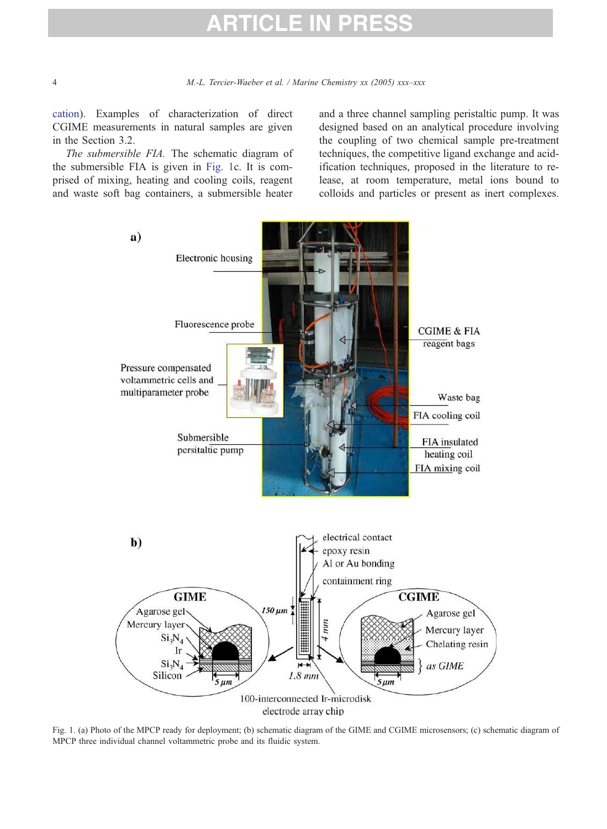<span id="page-3-0"></span>4 M.-L. Tercier-Waeber et al. / Marine Chemistry xx (2005) xxx–xxx

cation). Examples of characterization of direct CGIME measurements in natural samples are given in the Section 3.2.

The submersible FIA. The schematic diagram of the submersible FIA is given in Fig. 1c. It is comprised of mixing, heating and cooling coils, reagent and waste soft bag containers, a submersible heater

and a three channel sampling peristaltic pump. It was designed based on an analytical procedure involving the coupling of two chemical sample pre-treatment techniques, the competitive ligand exchange and acidification techniques, proposed in the literature to release, at room temperature, metal ions bound to colloids and particles or present as inert complexes.



Fig. 1. (a) Photo of the MPCP ready for deployment; (b) schematic diagram of the GIME and CGIME microsensors; (c) schematic diagram of MPCP three individual channel voltammetric probe and its fluidic system.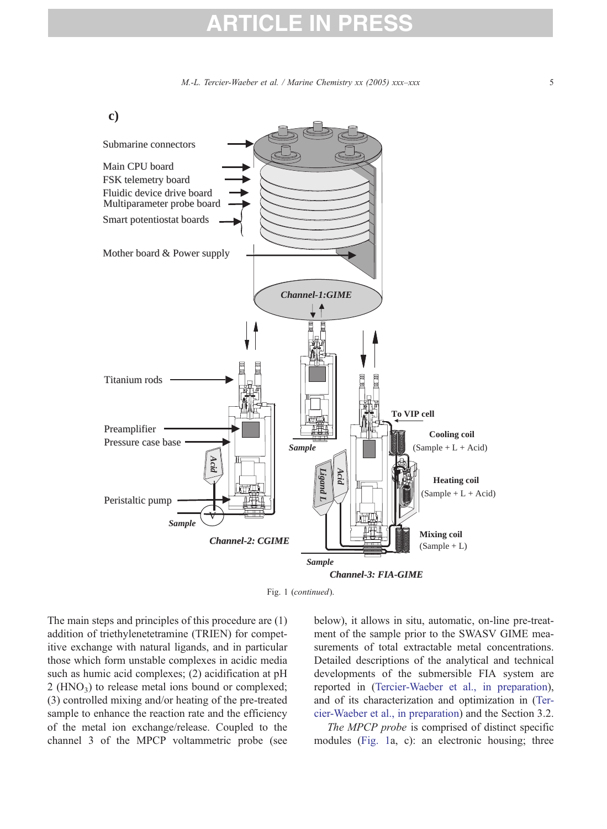### **ARTICLE IN**





The main steps and principles of this procedure are (1) addition of triethylenetetramine (TRIEN) for competitive exchange with natural ligands, and in particular those which form unstable complexes in acidic media such as humic acid complexes; (2) acidification at pH  $2$  (HNO<sub>3</sub>) to release metal ions bound or complexed; (3) controlled mixing and/or heating of the pre-treated sample to enhance the reaction rate and the efficiency of the metal ion exchange/release. Coupled to the channel 3 of the MPCP voltammetric probe (see below), it allows in situ, automatic, on-line pre-treatment of the sample prior to the SWASV GIME measurements of total extractable metal concentrations. Detailed descriptions of the analytical and technical developments of the submersible FIA system are reported in ([Tercier-Waeber et al., in preparation\)](#page-19-0), and of its characterization and optimization in ([Ter](#page-19-0)cier-Waeber et al., in preparation) and the Section 3.2.

The MPCP probe is comprised of distinct specific modules ([Fig. 1a](#page-3-0), c): an electronic housing; three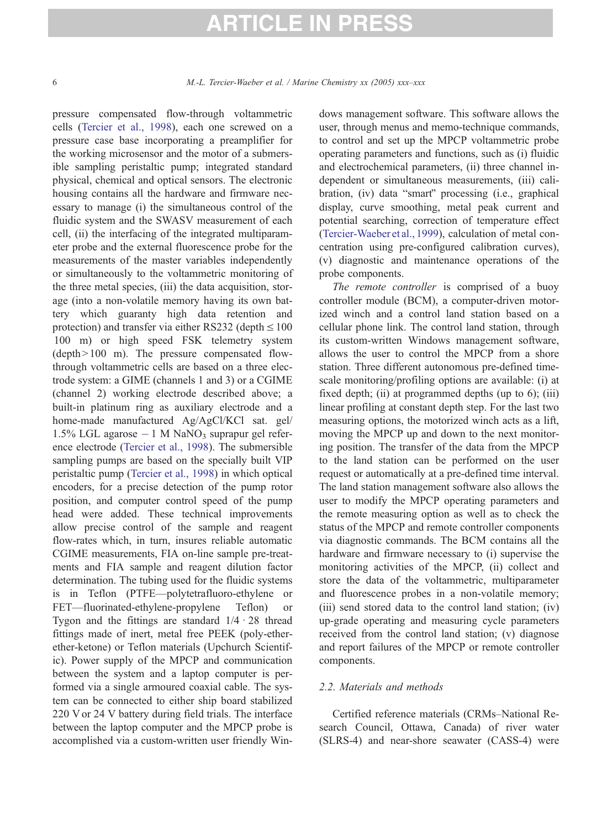pressure compensated flow-through voltammetric cells [\(Tercier et al., 1998\)](#page-19-0), each one screwed on a pressure case base incorporating a preamplifier for the working microsensor and the motor of a submersible sampling peristaltic pump; integrated standard physical, chemical and optical sensors. The electronic housing contains all the hardware and firmware necessary to manage (i) the simultaneous control of the fluidic system and the SWASV measurement of each cell, (ii) the interfacing of the integrated multiparameter probe and the external fluorescence probe for the measurements of the master variables independently or simultaneously to the voltammetric monitoring of the three metal species, (iii) the data acquisition, storage (into a non-volatile memory having its own battery which guaranty high data retention and protection) and transfer via either RS232 (depth  $\leq 100$ 100 m) or high speed FSK telemetry system  $(depth > 100$  m). The pressure compensated flowthrough voltammetric cells are based on a three electrode system: a GIME (channels 1 and 3) or a CGIME (channel 2) working electrode described above; a built-in platinum ring as auxiliary electrode and a home-made manufactured Ag/AgCl/KCl sat. gel/ 1.5% LGL agarose  $-1$  M NaNO<sub>3</sub> suprapur gel reference electrode ([Tercier et al., 1998\)](#page-19-0). The submersible sampling pumps are based on the specially built VIP peristaltic pump ([Tercier et al., 1998\)](#page-19-0) in which optical encoders, for a precise detection of the pump rotor position, and computer control speed of the pump head were added. These technical improvements allow precise control of the sample and reagent flow-rates which, in turn, insures reliable automatic CGIME measurements, FIA on-line sample pre-treatments and FIA sample and reagent dilution factor determination. The tubing used for the fluidic systems is in Teflon (PTFE—polytetrafluoro-ethylene or FET—fluorinated-ethylene-propylene Teflon) or Tygon and the fittings are standard  $1/4 \cdot 28$  thread fittings made of inert, metal free PEEK (poly-etherether-ketone) or Teflon materials (Upchurch Scientific). Power supply of the MPCP and communication between the system and a laptop computer is performed via a single armoured coaxial cable. The system can be connected to either ship board stabilized 220 V or 24 V battery during field trials. The interface between the laptop computer and the MPCP probe is accomplished via a custom-written user friendly Windows management software. This software allows the user, through menus and memo-technique commands, to control and set up the MPCP voltammetric probe operating parameters and functions, such as (i) fluidic and electrochemical parameters, (ii) three channel independent or simultaneous measurements, (iii) calibration, (iv) data "smart" processing (i.e., graphical display, curve smoothing, metal peak current and potential searching, correction of temperature effect ([Tercier-Waeber et al., 1999\)](#page-19-0), calculation of metal concentration using pre-configured calibration curves), (v) diagnostic and maintenance operations of the probe components.

The remote controller is comprised of a buoy controller module (BCM), a computer-driven motorized winch and a control land station based on a cellular phone link. The control land station, through its custom-written Windows management software, allows the user to control the MPCP from a shore station. Three different autonomous pre-defined timescale monitoring/profiling options are available: (i) at fixed depth; (ii) at programmed depths (up to 6); (iii) linear profiling at constant depth step. For the last two measuring options, the motorized winch acts as a lift, moving the MPCP up and down to the next monitoring position. The transfer of the data from the MPCP to the land station can be performed on the user request or automatically at a pre-defined time interval. The land station management software also allows the user to modify the MPCP operating parameters and the remote measuring option as well as to check the status of the MPCP and remote controller components via diagnostic commands. The BCM contains all the hardware and firmware necessary to (i) supervise the monitoring activities of the MPCP, (ii) collect and store the data of the voltammetric, multiparameter and fluorescence probes in a non-volatile memory; (iii) send stored data to the control land station; (iv) up-grade operating and measuring cycle parameters received from the control land station; (v) diagnose and report failures of the MPCP or remote controller components.

### 2.2. Materials and methods

Certified reference materials (CRMs–National Research Council, Ottawa, Canada) of river water (SLRS-4) and near-shore seawater (CASS-4) were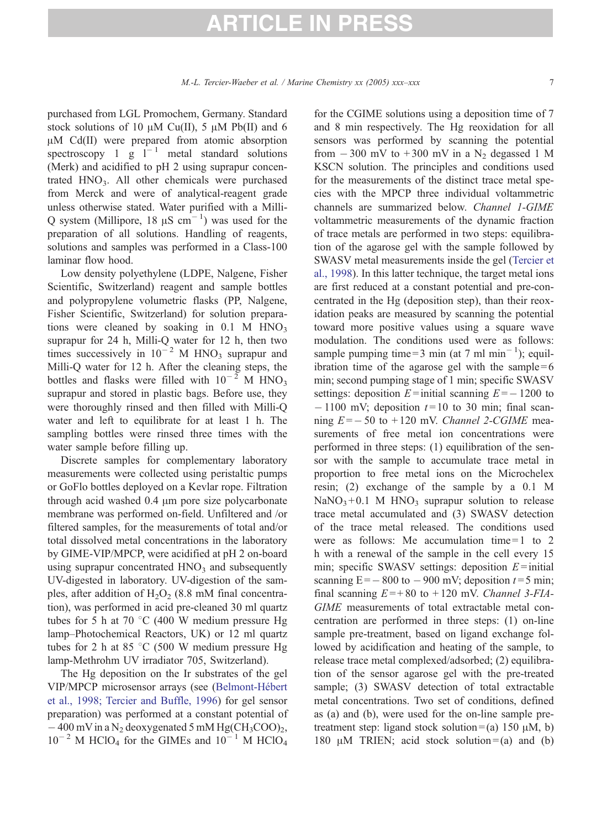purchased from LGL Promochem, Germany. Standard stock solutions of 10  $\mu$ M Cu(II), 5  $\mu$ M Pb(II) and 6 µM Cd(II) were prepared from atomic absorption spectroscopy 1 g  $1^{-1}$  metal standard solutions (Merk) and acidified to pH 2 using suprapur concentrated HNO<sub>3</sub>. All other chemicals were purchased from Merck and were of analytical-reagent grade unless otherwise stated. Water purified with a Milli-Q system (Millipore, 18  $\mu$ S cm<sup>-1</sup>) was used for the preparation of all solutions. Handling of reagents, solutions and samples was performed in a Class-100 laminar flow hood.

Low density polyethylene (LDPE, Nalgene, Fisher Scientific, Switzerland) reagent and sample bottles and polypropylene volumetric flasks (PP, Nalgene, Fisher Scientific, Switzerland) for solution preparations were cleaned by soaking in  $0.1$  M  $HNO<sub>3</sub>$ suprapur for 24 h, Milli-Q water for 12 h, then two times successively in  $10^{-2}$  M HNO<sub>3</sub> suprapur and Milli-Q water for 12 h. After the cleaning steps, the bottles and flasks were filled with  $10^{-2}$  M HNO<sub>3</sub> suprapur and stored in plastic bags. Before use, they were thoroughly rinsed and then filled with Milli-Q water and left to equilibrate for at least 1 h. The sampling bottles were rinsed three times with the water sample before filling up.

Discrete samples for complementary laboratory measurements were collected using peristaltic pumps or GoFlo bottles deployed on a Kevlar rope. Filtration through acid washed  $0.4 \mu m$  pore size polycarbonate membrane was performed on-field. Unfiltered and /or filtered samples, for the measurements of total and/or total dissolved metal concentrations in the laboratory by GIME-VIP/MPCP, were acidified at pH 2 on-board using suprapur concentrated  $HNO<sub>3</sub>$  and subsequently UV-digested in laboratory. UV-digestion of the samples, after addition of  $H_2O_2$  (8.8 mM final concentration), was performed in acid pre-cleaned 30 ml quartz tubes for 5 h at 70  $\degree$ C (400 W medium pressure Hg lamp–Photochemical Reactors, UK) or 12 ml quartz tubes for 2 h at 85  $\degree$ C (500 W medium pressure Hg lamp-Methrohm UV irradiator 705, Switzerland).

The Hg deposition on the Ir substrates of the gel VIP/MPCP microsensor arrays (see (Belmont-Hébert) et al., 1998; Tercier and Buffle, 1996) for gel sensor preparation) was performed at a constant potential of  $-400$  mV in a N<sub>2</sub> deoxygenated 5 mM Hg(CH<sub>3</sub>COO)<sub>2</sub>,  $10^{-2}$  M HClO<sub>4</sub> for the GIMEs and  $10^{-1}$  M HClO<sub>4</sub> for the CGIME solutions using a deposition time of 7 and 8 min respectively. The Hg reoxidation for all sensors was performed by scanning the potential from  $-300$  mV to  $+300$  mV in a N<sub>2</sub> degassed 1 M KSCN solution. The principles and conditions used for the measurements of the distinct trace metal species with the MPCP three individual voltammetric channels are summarized below. Channel 1-GIME voltammetric measurements of the dynamic fraction of trace metals are performed in two steps: equilibration of the agarose gel with the sample followed by SWASV metal measurements inside the gel ([Tercier et](#page-19-0) al., 1998). In this latter technique, the target metal ions are first reduced at a constant potential and pre-concentrated in the Hg (deposition step), than their reoxidation peaks are measured by scanning the potential toward more positive values using a square wave modulation. The conditions used were as follows: sample pumping time=3 min (at 7 ml min<sup>-1</sup>); equilibration time of the agarose gel with the sample  $= 6$ min; second pumping stage of 1 min; specific SWASV settings: deposition  $E =$ initial scanning  $E = -1200$  to  $-1100$  mV; deposition  $t = 10$  to 30 min; final scanning  $E = -50$  to  $+ 120$  mV. Channel 2-CGIME measurements of free metal ion concentrations were performed in three steps: (1) equilibration of the sensor with the sample to accumulate trace metal in proportion to free metal ions on the Microchelex resin; (2) exchange of the sample by a 0.1 M  $NaNO<sub>3</sub>+0.1$  M HNO<sub>3</sub> suprapur solution to release trace metal accumulated and (3) SWASV detection of the trace metal released. The conditions used were as follows: Me accumulation time =  $1$  to  $2$ h with a renewal of the sample in the cell every 15 min; specific SWASV settings: deposition  $E =$ initial scanning  $E = -800$  to  $-900$  mV; deposition  $t = 5$  min; final scanning  $E = +80$  to  $+120$  mV. Channel 3-FIA-GIME measurements of total extractable metal concentration are performed in three steps: (1) on-line sample pre-treatment, based on ligand exchange followed by acidification and heating of the sample, to release trace metal complexed/adsorbed; (2) equilibration of the sensor agarose gel with the pre-treated sample; (3) SWASV detection of total extractable metal concentrations. Two set of conditions, defined as (a) and (b), were used for the on-line sample pretreatment step: ligand stock solution = (a) 150  $\mu$ M, b) 180  $\mu$ M TRIEN; acid stock solution = (a) and (b)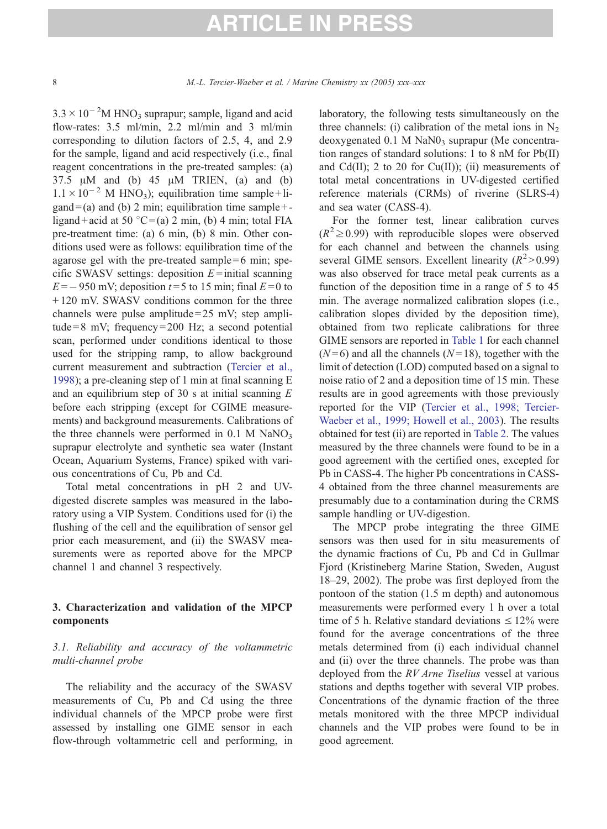$3.3 \times 10^{-2}$ M HNO<sub>3</sub> suprapur; sample, ligand and acid flow-rates: 3.5 ml/min, 2.2 ml/min and 3 ml/min corresponding to dilution factors of 2.5, 4, and 2.9 for the sample, ligand and acid respectively (i.e., final reagent concentrations in the pre-treated samples: (a)  $37.5$   $\mu$ M and (b)  $45 \mu$ M TRIEN, (a) and (b)  $1.1 \times 10^{-2}$  M HNO<sub>3</sub>); equilibration time sample + ligand = (a) and (b) 2 min; equilibration time sample +ligand + acid at 50 °C = (a) 2 min, (b) 4 min; total FIA pre-treatment time: (a) 6 min, (b) 8 min. Other conditions used were as follows: equilibration time of the agarose gel with the pre-treated sample = 6 min; specific SWASV settings: deposition  $E =$ initial scanning  $E = -950$  mV; deposition  $t = 5$  to 15 min; final  $E = 0$  to + 120 mV. SWASV conditions common for the three channels were pulse amplitude =  $25 \text{ mV}$ ; step amplitude = 8 mV; frequency = 200 Hz; a second potential scan, performed under conditions identical to those used for the stripping ramp, to allow background current measurement and subtraction ([Tercier et al.,](#page-19-0) 1998); a pre-cleaning step of 1 min at final scanning E and an equilibrium step of 30 s at initial scanning  $E$ before each stripping (except for CGIME measurements) and background measurements. Calibrations of the three channels were performed in  $0.1$  M NaNO<sub>3</sub> suprapur electrolyte and synthetic sea water (Instant Ocean, Aquarium Systems, France) spiked with various concentrations of Cu, Pb and Cd.

Total metal concentrations in pH 2 and UVdigested discrete samples was measured in the laboratory using a VIP System. Conditions used for (i) the flushing of the cell and the equilibration of sensor gel prior each measurement, and (ii) the SWASV measurements were as reported above for the MPCP channel 1 and channel 3 respectively.

### 3. Characterization and validation of the MPCP components

### 3.1. Reliability and accuracy of the voltammetric multi-channel probe

The reliability and the accuracy of the SWASV measurements of Cu, Pb and Cd using the three individual channels of the MPCP probe were first assessed by installing one GIME sensor in each flow-through voltammetric cell and performing, in laboratory, the following tests simultaneously on the three channels: (i) calibration of the metal ions in  $N<sub>2</sub>$ deoxygenated  $0.1$  M NaN $0<sub>3</sub>$  suprapur (Me concentration ranges of standard solutions: 1 to 8 nM for Pb(II) and  $Cd(II)$ ; 2 to 20 for  $Cu(II)$ ; (ii) measurements of total metal concentrations in UV-digested certified reference materials (CRMs) of riverine (SLRS-4) and sea water (CASS-4).

For the former test, linear calibration curves  $(R^2 \ge 0.99)$  with reproducible slopes were observed for each channel and between the channels using several GIME sensors. Excellent linearity  $(R^2>0.99)$ was also observed for trace metal peak currents as a function of the deposition time in a range of 5 to 45 min. The average normalized calibration slopes (i.e., calibration slopes divided by the deposition time), obtained from two replicate calibrations for three GIME sensors are reported in [Table 1](#page-8-0) for each channel  $(N=6)$  and all the channels  $(N=18)$ , together with the limit of detection (LOD) computed based on a signal to noise ratio of 2 and a deposition time of 15 min. These results are in good agreements with those previously reported for the VIP ([Tercier et al., 1998; Tercier-](#page-19-0)Waeber et al., 1999; Howell et al., 2003). The results obtained for test (ii) are reported in [Table 2.](#page-8-0) The values measured by the three channels were found to be in a good agreement with the certified ones, excepted for Pb in CASS-4. The higher Pb concentrations in CASS-4 obtained from the three channel measurements are presumably due to a contamination during the CRMS sample handling or UV-digestion.

The MPCP probe integrating the three GIME sensors was then used for in situ measurements of the dynamic fractions of Cu, Pb and Cd in Gullmar Fjord (Kristineberg Marine Station, Sweden, August 18–29, 2002). The probe was first deployed from the pontoon of the station (1.5 m depth) and autonomous measurements were performed every 1 h over a total time of 5 h. Relative standard deviations  $\leq 12\%$  were found for the average concentrations of the three metals determined from (i) each individual channel and (ii) over the three channels. The probe was than deployed from the RV Arne Tiselius vessel at various stations and depths together with several VIP probes. Concentrations of the dynamic fraction of the three metals monitored with the three MPCP individual channels and the VIP probes were found to be in good agreement.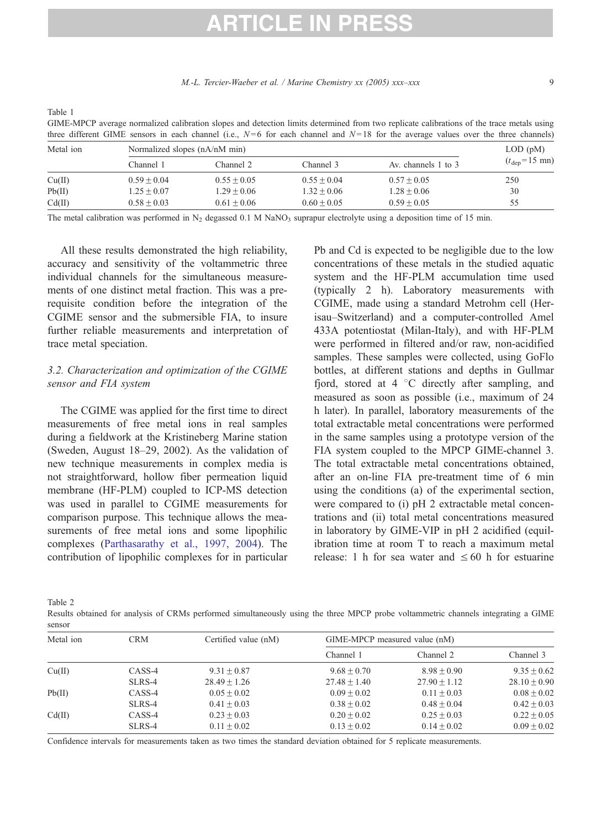M.-L. Tercier-Waeber et al. / Marine Chemistry xx (2005) xxx–xxx 9

<span id="page-8-0"></span>Table 1

GIME-MPCP average normalized calibration slopes and detection limits determined from two replicate calibrations of the trace metals using three different GIME sensors in each channel (i.e.,  $N=6$  for each channel and  $N=18$  for the average values over the three channels)

| Metal ion | Normalized slopes (nA/nM min) | LOD(pM)       |               |                     |                                    |
|-----------|-------------------------------|---------------|---------------|---------------------|------------------------------------|
|           | Channel 1                     | Channel 2     | Channel 3     | Av. channels 1 to 3 | $(t_{\text{dep}} = 15 \text{ mm})$ |
| Cu(II)    | $0.59 + 0.04$                 | $0.55 + 0.05$ | $0.55 + 0.04$ | $0.57 + 0.05$       | 250                                |
| Pb(II)    | $1.25 + 0.07$                 | $1.29 + 0.06$ | $1.32 + 0.06$ | $1.28 + 0.06$       | 30                                 |
| Cd(II)    | $0.58 + 0.03$                 | $0.61 + 0.06$ | $0.60 + 0.05$ | $0.59 + 0.05$       | 55                                 |

The metal calibration was performed in  $N_2$  degassed 0.1 M NaNO<sub>3</sub> suprapur electrolyte using a deposition time of 15 min.

All these results demonstrated the high reliability, accuracy and sensitivity of the voltammetric three individual channels for the simultaneous measurements of one distinct metal fraction. This was a prerequisite condition before the integration of the CGIME sensor and the submersible FIA, to insure further reliable measurements and interpretation of trace metal speciation.

### 3.2. Characterization and optimization of the CGIME sensor and FIA system

The CGIME was applied for the first time to direct measurements of free metal ions in real samples during a fieldwork at the Kristineberg Marine station (Sweden, August 18–29, 2002). As the validation of new technique measurements in complex media is not straightforward, hollow fiber permeation liquid membrane (HF-PLM) coupled to ICP-MS detection was used in parallel to CGIME measurements for comparison purpose. This technique allows the measurements of free metal ions and some lipophilic complexes ([Parthasarathy et al., 1997, 2004\)](#page-18-0). The contribution of lipophilic complexes for in particular Pb and Cd is expected to be negligible due to the low concentrations of these metals in the studied aquatic system and the HF-PLM accumulation time used (typically 2 h). Laboratory measurements with CGIME, made using a standard Metrohm cell (Herisau–Switzerland) and a computer-controlled Amel 433A potentiostat (Milan-Italy), and with HF-PLM were performed in filtered and/or raw, non-acidified samples. These samples were collected, using GoFlo bottles, at different stations and depths in Gullmar fjord, stored at  $4 \degree C$  directly after sampling, and measured as soon as possible (i.e., maximum of 24 h later). In parallel, laboratory measurements of the total extractable metal concentrations were performed in the same samples using a prototype version of the FIA system coupled to the MPCP GIME-channel 3. The total extractable metal concentrations obtained, after an on-line FIA pre-treatment time of 6 min using the conditions (a) of the experimental section, were compared to (i) pH 2 extractable metal concentrations and (ii) total metal concentrations measured in laboratory by GIME-VIP in pH 2 acidified (equilibration time at room T to reach a maximum metal release: 1 h for sea water and  $\leq 60$  h for estuarine

Table 2

Results obtained for analysis of CRMs performed simultaneously using the three MPCP probe voltammetric channels integrating a GIME sensor

| Metal ion | <b>CRM</b> | Certified value (nM) | GIME-MPCP measured value (nM) |                |                |  |
|-----------|------------|----------------------|-------------------------------|----------------|----------------|--|
|           |            |                      | Channel 1                     | Channel 2      | Channel 3      |  |
| Cu(II)    | CASS-4     | $9.31 + 0.87$        | $9.68 + 0.70$                 | $8.98 + 0.90$  | $9.35 + 0.62$  |  |
|           | SLRS-4     | $28.49 + 1.26$       | $27.48 + 1.40$                | $27.90 + 1.12$ | $28.10 + 0.90$ |  |
| Pb(II)    | CASS-4     | $0.05 + 0.02$        | $0.09 + 0.02$                 | $0.11 + 0.03$  | $0.08 + 0.02$  |  |
|           | SLRS-4     | $0.41 + 0.03$        | $0.38 + 0.02$                 | $0.48 + 0.04$  | $0.42 + 0.03$  |  |
| Cd(II)    | CASS-4     | $0.23 + 0.03$        | $0.20 + 0.02$                 | $0.25 + 0.03$  | $0.22 + 0.05$  |  |
|           | SLRS-4     | $0.11 + 0.02$        | $0.13 + 0.02$                 | $0.14 + 0.02$  | $0.09 + 0.02$  |  |

Confidence intervals for measurements taken as two times the standard deviation obtained for 5 replicate measurements.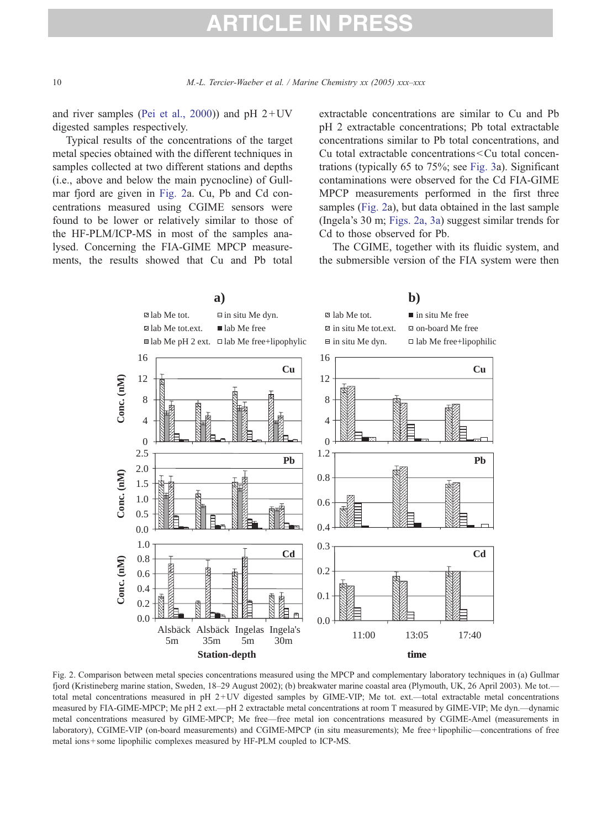<span id="page-9-0"></span>and river samples ([Pei et al., 2000\)](#page-18-0)) and pH  $2+UV$ digested samples respectively.

Typical results of the concentrations of the target metal species obtained with the different techniques in samples collected at two different stations and depths (i.e., above and below the main pycnocline) of Gullmar fjord are given in Fig. 2a. Cu, Pb and Cd concentrations measured using CGIME sensors were found to be lower or relatively similar to those of the HF-PLM/ICP-MS in most of the samples analysed. Concerning the FIA-GIME MPCP measurements, the results showed that Cu and Pb total extractable concentrations are similar to Cu and Pb pH 2 extractable concentrations; Pb total extractable concentrations similar to Pb total concentrations, and Cu total extractable concentrations<Cu total concentrations (typically 65 to 75%; see [Fig. 3a](#page-10-0)). Significant contaminations were observed for the Cd FIA-GIME MPCP measurements performed in the first three samples (Fig. 2a), but data obtained in the last sample (Ingela's 30 m; Figs. 2a, 3a) suggest similar trends for Cd to those observed for Pb.

The CGIME, together with its fluidic system, and the submersible version of the FIA system were then



Fig. 2. Comparison between metal species concentrations measured using the MPCP and complementary laboratory techniques in (a) Gullmar fjord (Kristineberg marine station, Sweden, 18–29 August 2002); (b) breakwater marine coastal area (Plymouth, UK, 26 April 2003). Me tot. total metal concentrations measured in pH 2 +UV digested samples by GIME-VIP; Me tot. ext.—total extractable metal concentrations measured by FIA-GIME-MPCP; Me pH 2 ext.—pH 2 extractable metal concentrations at room T measured by GIME-VIP; Me dyn.—dynamic metal concentrations measured by GIME-MPCP; Me free—free metal ion concentrations measured by CGIME-Amel (measurements in laboratory), CGIME-VIP (on-board measurements) and CGIME-MPCP (in situ measurements); Me free +lipophilic—concentrations of free metal ions + some lipophilic complexes measured by HF-PLM coupled to ICP-MS.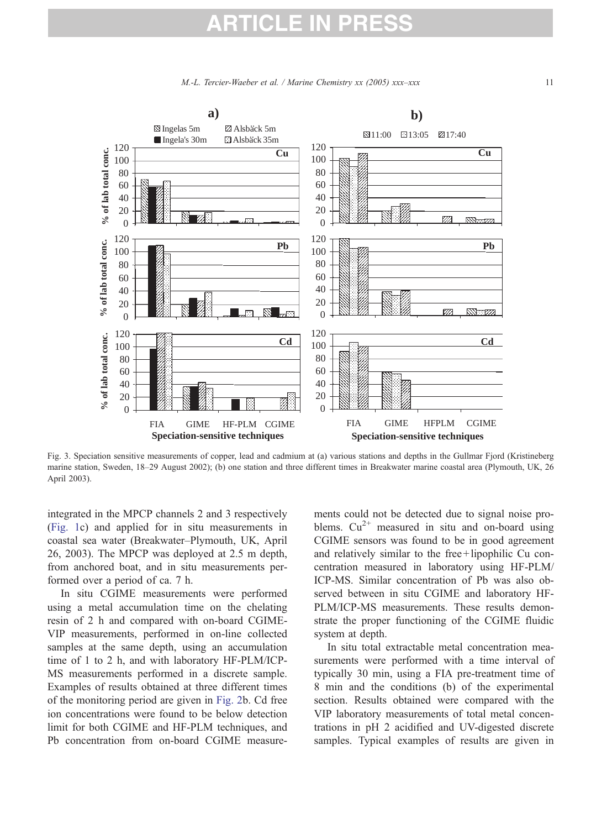M.-L. Tercier-Waeber et al. / Marine Chemistry xx (2005) xxx-xxx 11

<span id="page-10-0"></span>

Fig. 3. Speciation sensitive measurements of copper, lead and cadmium at (a) various stations and depths in the Gullmar Fjord (Kristineberg marine station, Sweden, 18–29 August 2002); (b) one station and three different times in Breakwater marine coastal area (Plymouth, UK, 26 April 2003).

integrated in the MPCP channels 2 and 3 respectively ([Fig. 1c](#page-3-0)) and applied for in situ measurements in coastal sea water (Breakwater–Plymouth, UK, April 26, 2003). The MPCP was deployed at 2.5 m depth, from anchored boat, and in situ measurements performed over a period of ca. 7 h.

In situ CGIME measurements were performed using a metal accumulation time on the chelating resin of 2 h and compared with on-board CGIME-VIP measurements, performed in on-line collected samples at the same depth, using an accumulation time of 1 to 2 h, and with laboratory HF-PLM/ICP-MS measurements performed in a discrete sample. Examples of results obtained at three different times of the monitoring period are given in [Fig. 2b](#page-9-0). Cd free ion concentrations were found to be below detection limit for both CGIME and HF-PLM techniques, and Pb concentration from on-board CGIME measurements could not be detected due to signal noise problems.  $Cu^{2+}$  measured in situ and on-board using CGIME sensors was found to be in good agreement and relatively similar to the free+lipophilic Cu concentration measured in laboratory using HF-PLM/ ICP-MS. Similar concentration of Pb was also observed between in situ CGIME and laboratory HF-PLM/ICP-MS measurements. These results demonstrate the proper functioning of the CGIME fluidic system at depth.

In situ total extractable metal concentration measurements were performed with a time interval of typically 30 min, using a FIA pre-treatment time of 8 min and the conditions (b) of the experimental section. Results obtained were compared with the VIP laboratory measurements of total metal concentrations in pH 2 acidified and UV-digested discrete samples. Typical examples of results are given in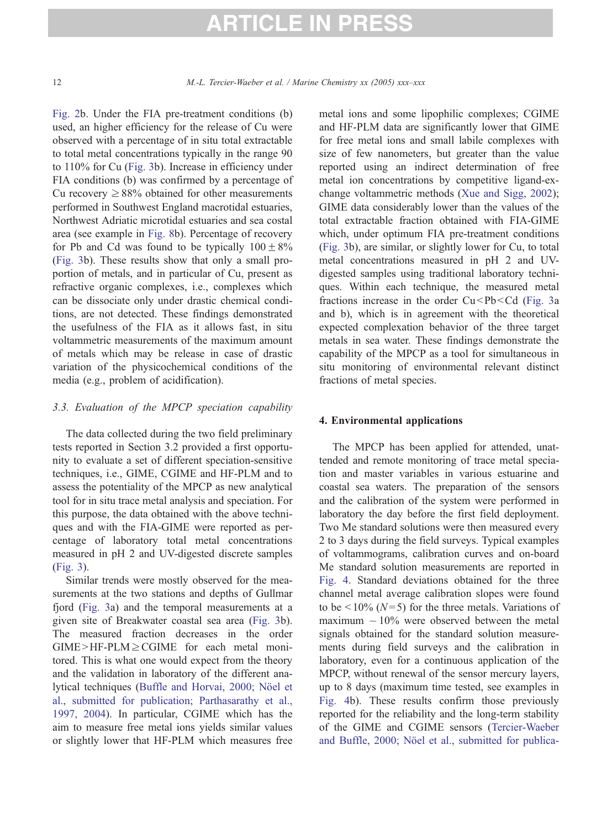12 M.-L. Tercier-Waeber et al. / Marine Chemistry xx (2005) xxx–xxx

[Fig. 2b](#page-9-0). Under the FIA pre-treatment conditions (b) used, an higher efficiency for the release of Cu were observed with a percentage of in situ total extractable to total metal concentrations typically in the range 90 to 110% for Cu [\(Fig. 3b](#page-10-0)). Increase in efficiency under FIA conditions (b) was confirmed by a percentage of Cu recovery  $\geq$  88% obtained for other measurements performed in Southwest England macrotidal estuaries, Northwest Adriatic microtidal estuaries and sea costal area (see example in [Fig. 8b](#page-16-0)). Percentage of recovery for Pb and Cd was found to be typically  $100 \pm 8\%$ ([Fig. 3](#page-10-0)b). These results show that only a small proportion of metals, and in particular of Cu, present as refractive organic complexes, i.e., complexes which can be dissociate only under drastic chemical conditions, are not detected. These findings demonstrated the usefulness of the FIA as it allows fast, in situ voltammetric measurements of the maximum amount of metals which may be release in case of drastic variation of the physicochemical conditions of the media (e.g., problem of acidification).

### 3.3. Evaluation of the MPCP speciation capability

The data collected during the two field preliminary tests reported in Section 3.2 provided a first opportunity to evaluate a set of different speciation-sensitive techniques, i.e., GIME, CGIME and HF-PLM and to assess the potentiality of the MPCP as new analytical tool for in situ trace metal analysis and speciation. For this purpose, the data obtained with the above techniques and with the FIA-GIME were reported as percentage of laboratory total metal concentrations measured in pH 2 and UV-digested discrete samples ([Fig. 3\)](#page-10-0).

Similar trends were mostly observed for the measurements at the two stations and depths of Gullmar fjord ([Fig. 3a](#page-10-0)) and the temporal measurements at a given site of Breakwater coastal sea area ([Fig. 3b](#page-10-0)). The measured fraction decreases in the order  $GIME > HF-PLM \ge CGIME$  for each metal monitored. This is what one would expect from the theory and the validation in laboratory of the different analytical techniques (Buffle and Horvai, 2000; Nöel et al., submitted for publication; Parthasarathy et al., 1997, 2004). In particular, CGIME which has the aim to measure free metal ions yields similar values or slightly lower that HF-PLM which measures free metal ions and some lipophilic complexes; CGIME and HF-PLM data are significantly lower that GIME for free metal ions and small labile complexes with size of few nanometers, but greater than the value reported using an indirect determination of free metal ion concentrations by competitive ligand-exchange voltammetric methods ([Xue and Sigg, 2002\)](#page-19-0); GIME data considerably lower than the values of the total extractable fraction obtained with FIA-GIME which, under optimum FIA pre-treatment conditions ([Fig. 3b](#page-10-0)), are similar, or slightly lower for Cu, to total metal concentrations measured in pH 2 and UVdigested samples using traditional laboratory techniques. Within each technique, the measured metal fractions increase in the order  $Cu < Pb < Cd$  ([Fig. 3a](#page-10-0) and b), which is in agreement with the theoretical expected complexation behavior of the three target metals in sea water. These findings demonstrate the capability of the MPCP as a tool for simultaneous in situ monitoring of environmental relevant distinct fractions of metal species.

### 4. Environmental applications

The MPCP has been applied for attended, unattended and remote monitoring of trace metal speciation and master variables in various estuarine and coastal sea waters. The preparation of the sensors and the calibration of the system were performed in laboratory the day before the first field deployment. Two Me standard solutions were then measured every 2 to 3 days during the field surveys. Typical examples of voltammograms, calibration curves and on-board Me standard solution measurements are reported in [Fig. 4.](#page-12-0) Standard deviations obtained for the three channel metal average calibration slopes were found to be  $\leq 10\%$  (N = 5) for the three metals. Variations of maximum  $-10\%$  were observed between the metal signals obtained for the standard solution measurements during field surveys and the calibration in laboratory, even for a continuous application of the MPCP, without renewal of the sensor mercury layers, up to 8 days (maximum time tested, see examples in [Fig. 4b](#page-12-0)). These results confirm those previously reported for the reliability and the long-term stability of the GIME and CGIME sensors ([Tercier-Waeber](#page-19-0) and Buffle, 2000; Nöel et al., submitted for publica-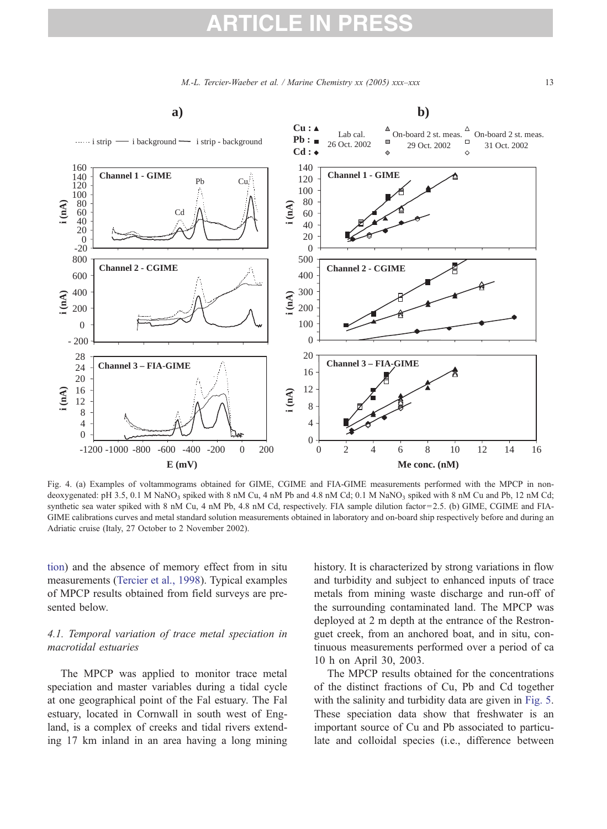M.-L. Tercier-Waeber et al. / Marine Chemistry xx (2005) xxx-xxx 13

<span id="page-12-0"></span>

Fig. 4. (a) Examples of voltammograms obtained for GIME, CGIME and FIA-GIME measurements performed with the MPCP in nondeoxygenated: pH 3.5, 0.1 M NaNO<sub>3</sub> spiked with 8 nM Cu, 4 nM Pb and 4.8 nM Cd; 0.1 M NaNO<sub>3</sub> spiked with 8 nM Cu and Pb, 12 nM Cd; synthetic sea water spiked with 8 nM Cu, 4 nM Pb, 4.8 nM Cd, respectively. FIA sample dilution factor = 2.5. (b) GIME, CGIME and FIA-GIME calibrations curves and metal standard solution measurements obtained in laboratory and on-board ship respectively before and during an Adriatic cruise (Italy, 27 October to 2 November 2002).

tion) and the absence of memory effect from in situ measurements ([Tercier et al., 1998\)](#page-19-0). Typical examples of MPCP results obtained from field surveys are presented below.

### 4.1. Temporal variation of trace metal speciation in macrotidal estuaries

The MPCP was applied to monitor trace metal speciation and master variables during a tidal cycle at one geographical point of the Fal estuary. The Fal estuary, located in Cornwall in south west of England, is a complex of creeks and tidal rivers extending 17 km inland in an area having a long mining history. It is characterized by strong variations in flow and turbidity and subject to enhanced inputs of trace metals from mining waste discharge and run-off of the surrounding contaminated land. The MPCP was deployed at 2 m depth at the entrance of the Restronguet creek, from an anchored boat, and in situ, continuous measurements performed over a period of ca 10 h on April 30, 2003.

The MPCP results obtained for the concentrations of the distinct fractions of Cu, Pb and Cd together with the salinity and turbidity data are given in [Fig. 5.](#page-13-0) These speciation data show that freshwater is an important source of Cu and Pb associated to particulate and colloidal species (i.e., difference between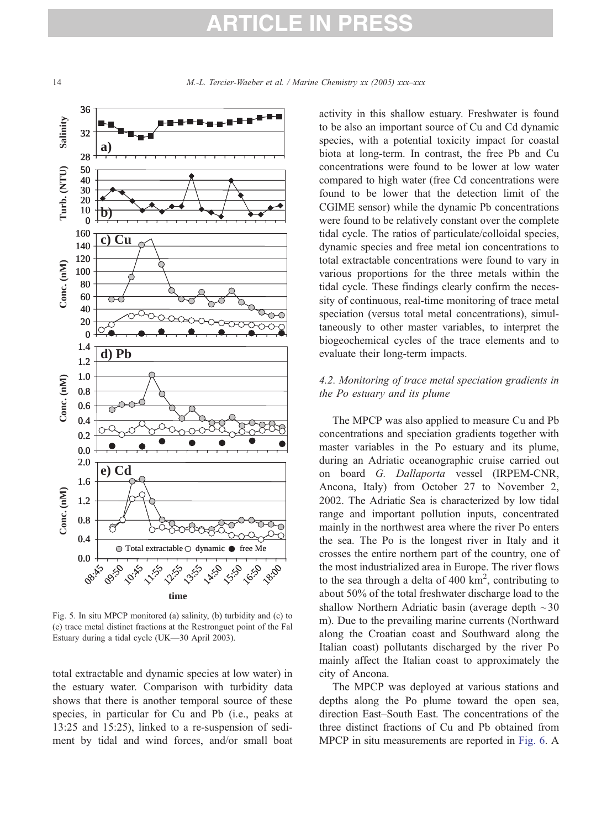<span id="page-13-0"></span>14 M.-L. Tercier-Waeber et al. / Marine Chemistry xx (2005) xxx–xxx



Fig. 5. In situ MPCP monitored (a) salinity, (b) turbidity and (c) to (e) trace metal distinct fractions at the Restronguet point of the Fal Estuary during a tidal cycle (UK—30 April 2003).

total extractable and dynamic species at low water) in the estuary water. Comparison with turbidity data shows that there is another temporal source of these species, in particular for Cu and Pb (i.e., peaks at 13:25 and 15:25), linked to a re-suspension of sediment by tidal and wind forces, and/or small boat activity in this shallow estuary. Freshwater is found to be also an important source of Cu and Cd dynamic species, with a potential toxicity impact for coastal biota at long-term. In contrast, the free Pb and Cu concentrations were found to be lower at low water compared to high water (free Cd concentrations were found to be lower that the detection limit of the CGIME sensor) while the dynamic Pb concentrations were found to be relatively constant over the complete tidal cycle. The ratios of particulate/colloidal species, dynamic species and free metal ion concentrations to total extractable concentrations were found to vary in various proportions for the three metals within the tidal cycle. These findings clearly confirm the necessity of continuous, real-time monitoring of trace metal speciation (versus total metal concentrations), simultaneously to other master variables, to interpret the biogeochemical cycles of the trace elements and to evaluate their long-term impacts.

### 4.2. Monitoring of trace metal speciation gradients in the Po estuary and its plume

The MPCP was also applied to measure Cu and Pb concentrations and speciation gradients together with master variables in the Po estuary and its plume, during an Adriatic oceanographic cruise carried out on board G. Dallaporta vessel (IRPEM-CNR, Ancona, Italy) from October 27 to November 2, 2002. The Adriatic Sea is characterized by low tidal range and important pollution inputs, concentrated mainly in the northwest area where the river Po enters the sea. The Po is the longest river in Italy and it crosses the entire northern part of the country, one of the most industrialized area in Europe. The river flows to the sea through a delta of  $400 \text{ km}^2$ , contributing to about 50% of the total freshwater discharge load to the shallow Northern Adriatic basin (average depth  $\sim$  30 m). Due to the prevailing marine currents (Northward along the Croatian coast and Southward along the Italian coast) pollutants discharged by the river Po mainly affect the Italian coast to approximately the city of Ancona.

The MPCP was deployed at various stations and depths along the Po plume toward the open sea, direction East–South East. The concentrations of the three distinct fractions of Cu and Pb obtained from MPCP in situ measurements are reported in [Fig. 6.](#page-14-0) A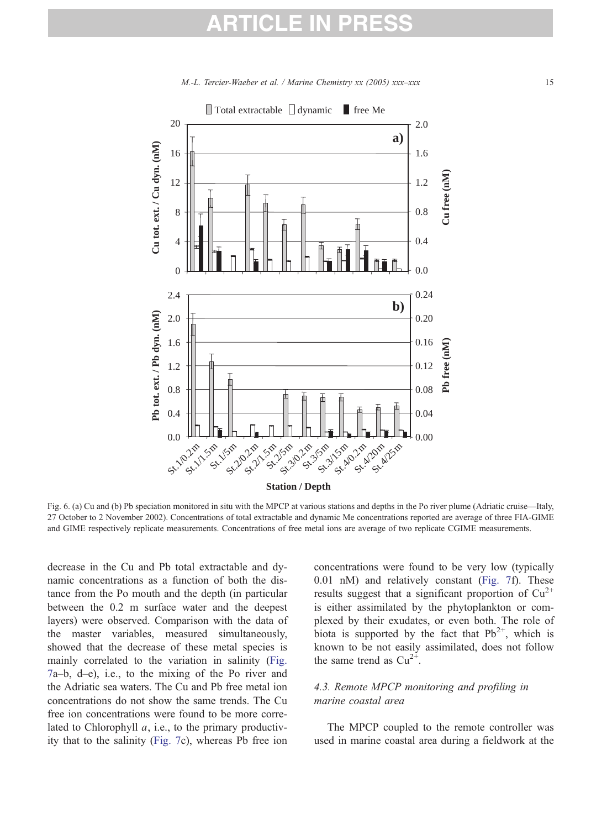## **ACLE IN**

<span id="page-14-0"></span>

#### M.-L. Tercier-Waeber et al. / Marine Chemistry xx (2005) xxx–xxx 15

Fig. 6. (a) Cu and (b) Pb speciation monitored in situ with the MPCP at various stations and depths in the Po river plume (Adriatic cruise—Italy, 27 October to 2 November 2002). Concentrations of total extractable and dynamic Me concentrations reported are average of three FIA-GIME and GIME respectively replicate measurements. Concentrations of free metal ions are average of two replicate CGIME measurements.

decrease in the Cu and Pb total extractable and dynamic concentrations as a function of both the distance from the Po mouth and the depth (in particular between the 0.2 m surface water and the deepest layers) were observed. Comparison with the data of the master variables, measured simultaneously, showed that the decrease of these metal species is mainly correlated to the variation in salinity ([Fig.](#page-15-0) 7a–b, d–e), i.e., to the mixing of the Po river and the Adriatic sea waters. The Cu and Pb free metal ion concentrations do not show the same trends. The Cu free ion concentrations were found to be more correlated to Chlorophyll  $a$ , i.e., to the primary productivity that to the salinity ([Fig. 7c](#page-15-0)), whereas Pb free ion

concentrations were found to be very low (typically 0.01 nM) and relatively constant ([Fig. 7f](#page-15-0)). These results suggest that a significant proportion of  $Cu^{2+}$ is either assimilated by the phytoplankton or complexed by their exudates, or even both. The role of biota is supported by the fact that  $Pb^{2+}$ , which is known to be not easily assimilated, does not follow the same trend as  $Cu^{2+}$ .

### 4.3. Remote MPCP monitoring and profiling in marine coastal area

The MPCP coupled to the remote controller was used in marine coastal area during a fieldwork at the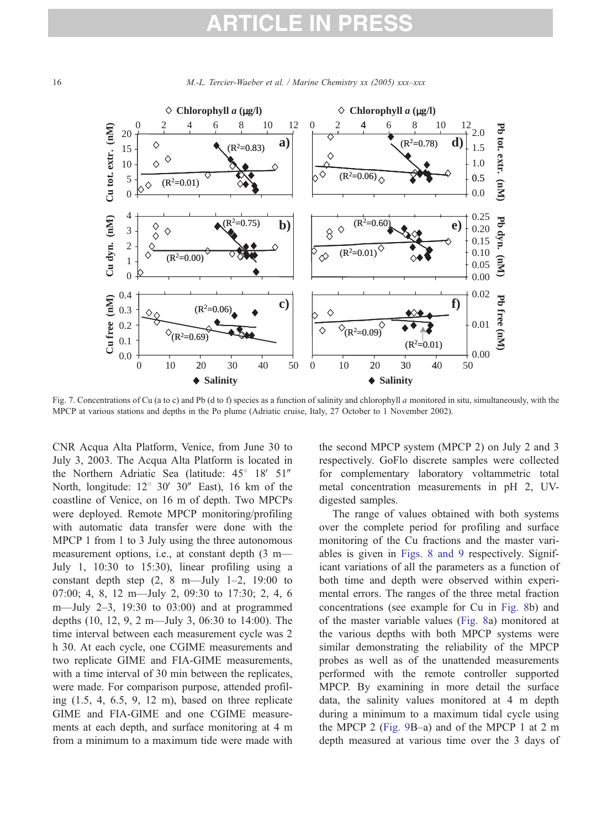### **ARTICLE IN**



<span id="page-15-0"></span>16 M.-L. Tercier-Waeber et al. / Marine Chemistry xx (2005) xxx–xxx

Fig. 7. Concentrations of Cu (a to c) and Pb (d to f) species as a function of salinity and chlorophyll a monitored in situ, simultaneously, with the MPCP at various stations and depths in the Po plume (Adriatic cruise, Italy, 27 October to 1 November 2002).

CNR Acqua Alta Platform, Venice, from June 30 to July 3, 2003. The Acqua Alta Platform is located in the Northern Adriatic Sea (latitude:  $45^{\circ}$  18'  $51''$ North, longitude:  $12^{\circ}$  30' 30" East), 16 km of the coastline of Venice, on 16 m of depth. Two MPCPs were deployed. Remote MPCP monitoring/profiling with automatic data transfer were done with the MPCP 1 from 1 to 3 July using the three autonomous measurement options, i.e., at constant depth (3 m— July 1, 10:30 to 15:30), linear profiling using a constant depth step  $(2, 8 \text{ m}$ —July 1–2, 19:00 to 07:00; 4, 8, 12 m—July 2, 09:30 to 17:30; 2, 4, 6 m—July 2–3, 19:30 to 03:00) and at programmed depths (10, 12, 9, 2 m—July 3, 06:30 to 14:00). The time interval between each measurement cycle was 2 h 30. At each cycle, one CGIME measurements and two replicate GIME and FIA-GIME measurements, with a time interval of 30 min between the replicates, were made. For comparison purpose, attended profiling (1.5, 4, 6.5, 9, 12 m), based on three replicate GIME and FIA-GIME and one CGIME measurements at each depth, and surface monitoring at 4 m from a minimum to a maximum tide were made with the second MPCP system (MPCP 2) on July 2 and 3 respectively. GoFlo discrete samples were collected for complementary laboratory voltammetric total metal concentration measurements in pH 2, UVdigested samples.

The range of values obtained with both systems over the complete period for profiling and surface monitoring of the Cu fractions and the master variables is given in [Figs. 8 and 9](#page-16-0) respectively. Significant variations of all the parameters as a function of both time and depth were observed within experimental errors. The ranges of the three metal fraction concentrations (see example for Cu in [Fig. 8b](#page-16-0)) and of the master variable values ([Fig. 8a](#page-16-0)) monitored at the various depths with both MPCP systems were similar demonstrating the reliability of the MPCP probes as well as of the unattended measurements performed with the remote controller supported MPCP. By examining in more detail the surface data, the salinity values monitored at 4 m depth during a minimum to a maximum tidal cycle using the MPCP 2 ([Fig. 9B](#page-17-0)–a) and of the MPCP 1 at 2 m depth measured at various time over the 3 days of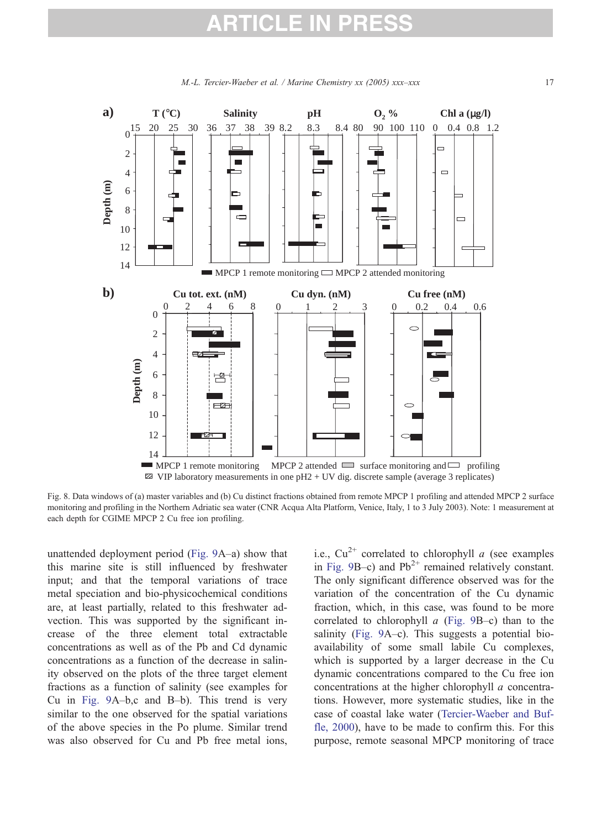<span id="page-16-0"></span>

M.-L. Tercier-Waeber et al. / Marine Chemistry xx (2005) xxx–xxx 17

Fig. 8. Data windows of (a) master variables and (b) Cu distinct fractions obtained from remote MPCP 1 profiling and attended MPCP 2 surface monitoring and profiling in the Northern Adriatic sea water (CNR Acqua Alta Platform, Venice, Italy, 1 to 3 July 2003). Note: 1 measurement at each depth for CGIME MPCP 2 Cu free ion profiling.

unattended deployment period ([Fig. 9A](#page-17-0)–a) show that this marine site is still influenced by freshwater input; and that the temporal variations of trace metal speciation and bio-physicochemical conditions are, at least partially, related to this freshwater advection. This was supported by the significant increase of the three element total extractable concentrations as well as of the Pb and Cd dynamic concentrations as a function of the decrease in salinity observed on the plots of the three target element fractions as a function of salinity (see examples for Cu in [Fig. 9](#page-17-0)A–b,c and B–b). This trend is very similar to the one observed for the spatial variations of the above species in the Po plume. Similar trend was also observed for Cu and Pb free metal ions,

i.e.,  $Cu^{2+}$  correlated to chlorophyll a (see examples in [Fig. 9B](#page-17-0)–c) and  $Pb^{2+}$  remained relatively constant. The only significant difference observed was for the variation of the concentration of the Cu dynamic fraction, which, in this case, was found to be more correlated to chlorophyll  $a$  ([Fig. 9B](#page-17-0)-c) than to the salinity ([Fig. 9A](#page-17-0)–c). This suggests a potential bioavailability of some small labile Cu complexes, which is supported by a larger decrease in the Cu dynamic concentrations compared to the Cu free ion concentrations at the higher chlorophyll a concentrations. However, more systematic studies, like in the case of coastal lake water ([Tercier-Waeber and Buf](#page-19-0)fle, 2000), have to be made to confirm this. For this purpose, remote seasonal MPCP monitoring of trace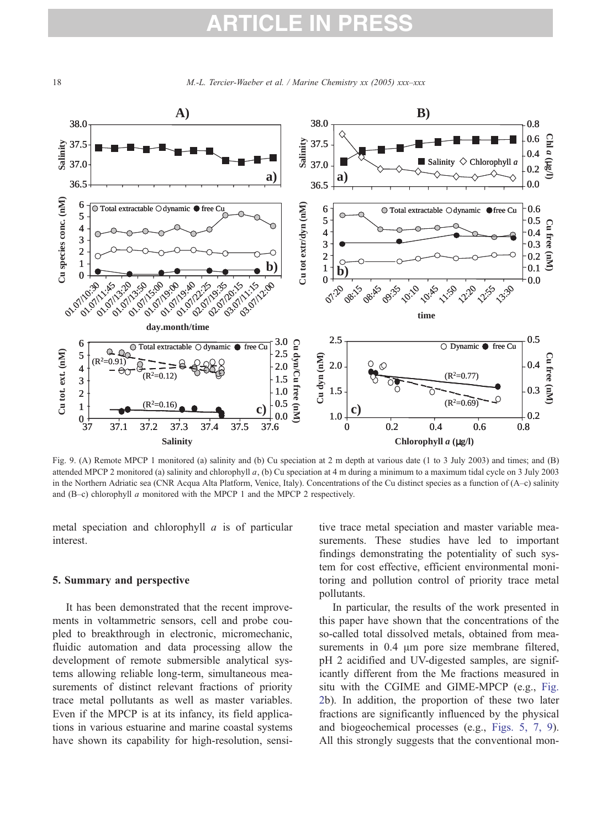### **ACLE IN**

<span id="page-17-0"></span>18 M.-L. Tercier-Waeber et al. / Marine Chemistry xx (2005) xxx–xxx



Fig. 9. (A) Remote MPCP 1 monitored (a) salinity and (b) Cu speciation at 2 m depth at various date (1 to 3 July 2003) and times; and (B) attended MPCP 2 monitored (a) salinity and chlorophyll a, (b) Cu speciation at 4 m during a minimum to a maximum tidal cycle on 3 July 2003 in the Northern Adriatic sea (CNR Acqua Alta Platform, Venice, Italy). Concentrations of the Cu distinct species as a function of (A–c) salinity and (B-c) chlorophyll a monitored with the MPCP 1 and the MPCP 2 respectively.

metal speciation and chlorophyll  $a$  is of particular interest.

#### 5. Summary and perspective

It has been demonstrated that the recent improvements in voltammetric sensors, cell and probe coupled to breakthrough in electronic, micromechanic, fluidic automation and data processing allow the development of remote submersible analytical systems allowing reliable long-term, simultaneous measurements of distinct relevant fractions of priority trace metal pollutants as well as master variables. Even if the MPCP is at its infancy, its field applications in various estuarine and marine coastal systems have shown its capability for high-resolution, sensitive trace metal speciation and master variable measurements. These studies have led to important findings demonstrating the potentiality of such system for cost effective, efficient environmental monitoring and pollution control of priority trace metal pollutants.

In particular, the results of the work presented in this paper have shown that the concentrations of the so-called total dissolved metals, obtained from measurements in  $0.4 \mu m$  pore size membrane filtered, pH 2 acidified and UV-digested samples, are significantly different from the Me fractions measured in situ with the CGIME and GIME-MPCP (e.g., [Fig.](#page-9-0) 2b). In addition, the proportion of these two later fractions are significantly influenced by the physical and biogeochemical processes (e.g., [Figs. 5, 7, 9\)](#page-13-0). All this strongly suggests that the conventional mon-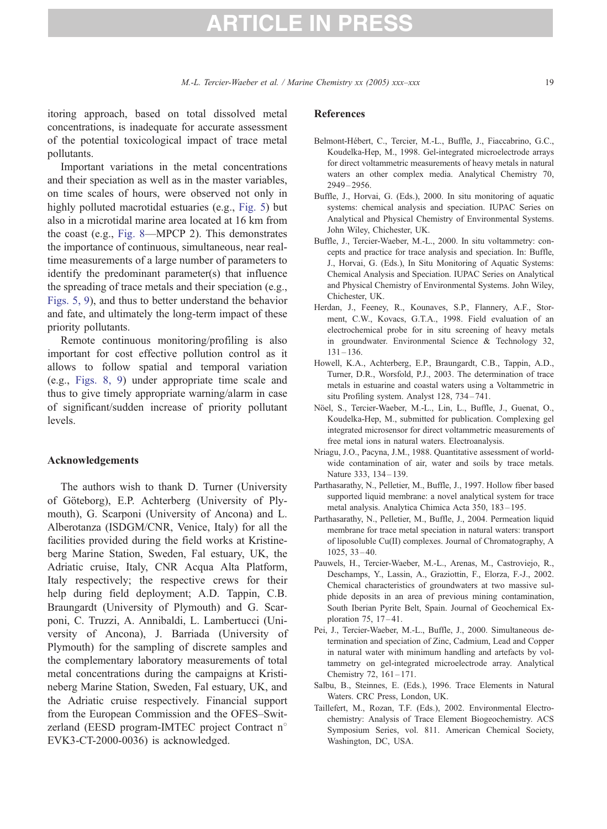<span id="page-18-0"></span>itoring approach, based on total dissolved metal concentrations, is inadequate for accurate assessment of the potential toxicological impact of trace metal pollutants.

Important variations in the metal concentrations and their speciation as well as in the master variables, on time scales of hours, were observed not only in highly polluted macrotidal estuaries (e.g., [Fig. 5\)](#page-13-0) but also in a microtidal marine area located at 16 km from the coast (e.g., [Fig. 8—](#page-16-0)MPCP 2). This demonstrates the importance of continuous, simultaneous, near realtime measurements of a large number of parameters to identify the predominant parameter(s) that influence the spreading of trace metals and their speciation (e.g., [Figs. 5, 9\)](#page-13-0), and thus to better understand the behavior and fate, and ultimately the long-term impact of these priority pollutants.

Remote continuous monitoring/profiling is also important for cost effective pollution control as it allows to follow spatial and temporal variation (e.g., [Figs. 8, 9\)](#page-16-0) under appropriate time scale and thus to give timely appropriate warning/alarm in case of significant/sudden increase of priority pollutant levels.

### Acknowledgements

The authors wish to thank D. Turner (University of Göteborg), E.P. Achterberg (University of Plymouth), G. Scarponi (University of Ancona) and L. Alberotanza (ISDGM/CNR, Venice, Italy) for all the facilities provided during the field works at Kristineberg Marine Station, Sweden, Fal estuary, UK, the Adriatic cruise, Italy, CNR Acqua Alta Platform, Italy respectively; the respective crews for their help during field deployment; A.D. Tappin, C.B. Braungardt (University of Plymouth) and G. Scarponi, C. Truzzi, A. Annibaldi, L. Lambertucci (University of Ancona), J. Barriada (University of Plymouth) for the sampling of discrete samples and the complementary laboratory measurements of total metal concentrations during the campaigns at Kristineberg Marine Station, Sweden, Fal estuary, UK, and the Adriatic cruise respectively. Financial support from the European Commission and the OFES–Switzerland (EESD program-IMTEC project Contract n° EVK3-CT-2000-0036) is acknowledged.

#### References

- Belmont-Hébert, C., Tercier, M.-L., Buffle, J., Fiaccabrino, G.C., Koudelka-Hep, M., 1998. Gel-integrated microelectrode arrays for direct voltammetric measurements of heavy metals in natural waters an other complex media. Analytical Chemistry 70, 2949 – 2956.
- Buffle, J., Horvai, G. (Eds.), 2000. In situ monitoring of aquatic systems: chemical analysis and speciation. IUPAC Series on Analytical and Physical Chemistry of Environmental Systems. John Wiley, Chichester, UK.
- Buffle, J., Tercier-Waeber, M.-L., 2000. In situ voltammetry: concepts and practice for trace analysis and speciation. In: Buffle, J., Horvai, G. (Eds.), In Situ Monitoring of Aquatic Systems: Chemical Analysis and Speciation. IUPAC Series on Analytical and Physical Chemistry of Environmental Systems. John Wiley, Chichester, UK.
- Herdan, J., Feeney, R., Kounaves, S.P., Flannery, A.F., Storment, C.W., Kovacs, G.T.A., 1998. Field evaluation of an electrochemical probe for in situ screening of heavy metals in groundwater. Environmental Science & Technology 32,  $131 - 136$
- Howell, K.A., Achterberg, E.P., Braungardt, C.B., Tappin, A.D., Turner, D.R., Worsfold, P.J., 2003. The determination of trace metals in estuarine and coastal waters using a Voltammetric in situ Profiling system. Analyst 128, 734 – 741.
- Nöel, S., Tercier-Waeber, M.-L., Lin, L., Buffle, J., Guenat, O., Koudelka-Hep, M., submitted for publication. Complexing gel integrated microsensor for direct voltammetric measurements of free metal ions in natural waters. Electroanalysis.
- Nriagu, J.O., Pacyna, J.M., 1988. Quantitative assessment of worldwide contamination of air, water and soils by trace metals. Nature 333, 134-139.
- Parthasarathy, N., Pelletier, M., Buffle, J., 1997. Hollow fiber based supported liquid membrane: a novel analytical system for trace metal analysis. Analytica Chimica Acta 350, 183 – 195.
- Parthasarathy, N., Pelletier, M., Buffle, J., 2004. Permeation liquid membrane for trace metal speciation in natural waters: transport of liposoluble Cu(II) complexes. Journal of Chromatography, A 1025, 33 – 40.
- Pauwels, H., Tercier-Waeber, M.-L., Arenas, M., Castroviejo, R., Deschamps, Y., Lassin, A., Graziottin, F., Elorza, F.-J., 2002. Chemical characteristics of groundwaters at two massive sulphide deposits in an area of previous mining contamination, South Iberian Pyrite Belt, Spain. Journal of Geochemical Exploration 75, 17-41.
- Pei, J., Tercier-Waeber, M.-L., Buffle, J., 2000. Simultaneous determination and speciation of Zinc, Cadmium, Lead and Copper in natural water with minimum handling and artefacts by voltammetry on gel-integrated microelectrode array. Analytical Chemistry 72, 161-171.
- Salbu, B., Steinnes, E. (Eds.), 1996. Trace Elements in Natural Waters. CRC Press, London, UK.
- Taillefert, M., Rozan, T.F. (Eds.), 2002. Environmental Electrochemistry: Analysis of Trace Element Biogeochemistry. ACS Symposium Series, vol. 811. American Chemical Society, Washington, DC, USA.